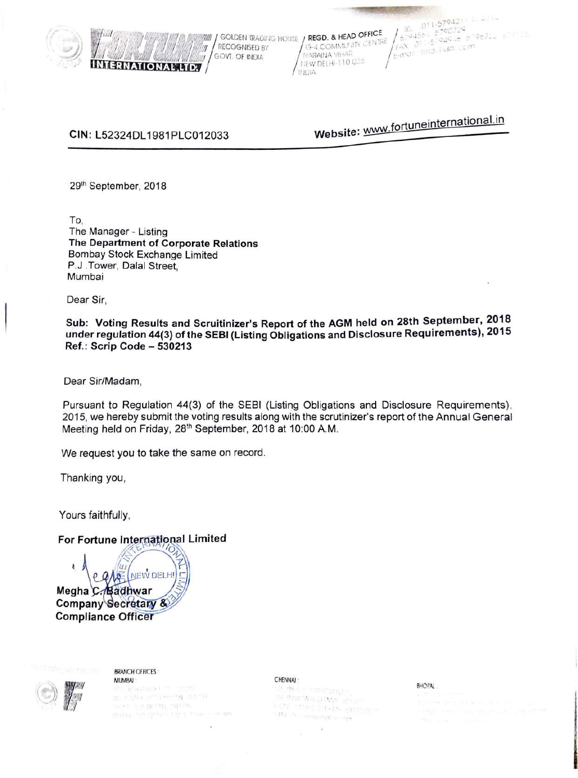

**ERNATIONAL LTD.** 

**RECOGNISED BY** G-4 COMMUNITY CENTRE FAX 011-57945-15-51<br>GOVI. OF INDIA MARAINA VIHAR | E-n<sup>-ci |</sup> 111121 : vsn LCM<br>MEW DELHI-110028 lf !lJIA

**/***i*<sub>i</sub>i*l* 011-5794211 1.....<br>*Aj*94561 6790729<br>FAX 011-5794548 579672. 5081 **A juli / and a strip of the figure of the figure / GOLDEN TRADING HOUSE / REGD. & HEAD OFFICE / 579.1561 67906-25-967**<br>**14. And 14 Mean and Mark Million / RECOGNISED BY G-4 COMMUNITY CENTRE / FAX 011-5794561 600** 

# **CIN:** L52324DL 1981 PLC012033

*<sup>111</sup>*t;,;,,.;/;;)j;lil,7"*<sup>1</sup>*

Website: www.fortuneinternational.in

29th September, 2018

To, The Manager - Listing **The Department of Corporate Relations**  Bombay Stock Exchange Limited P.J .Tower, Dalal Street, Mumbai

Dear Sir,

**Sub: Voting Results and Scruitinizer's Report of the AGM held on 28th September, 2018 under regulation 44(3) of the SEBI (Listing Obligations and Disclosure Requirements), 2015 Ref.: Scrip Code - 530213** 

Dear Sir/Madam,

Pursuant to Regulation 44(3) of the SEBI (Listing Obligations and Disclosure Requirements), 2015, we hereby submit the voting results along with the scrutinizer's report of the Annual General Meeting held on Friday, 28<sup>th</sup> September, 2018 at 10:00 A.M.

We request you to take the same on record.

Thanking you,

Yours faithfully,

**For Fortune International Limited** 

~ NEW DELH Megha C. Badhwar **Company Secretary & Compliance** 



BRANCH OFFICES: **MUMBAI** 

. <br> : The  $\mathcal{P}^{(n)}$  is  $\mathcal{P}^{(n)}$  in  $\mathcal{P}^{(n)}$ nive mysteriat, sprint thirds are graphs and there are an

CHENNN : ,,, BHOPAL . W Milbitania Classic Roller T ENT - FISHEL STREAM (DE STAN)<br>T ENT - FISHEL STReam (DE STAN)  $1.14 + 1.1$  comparing to the  $1.1$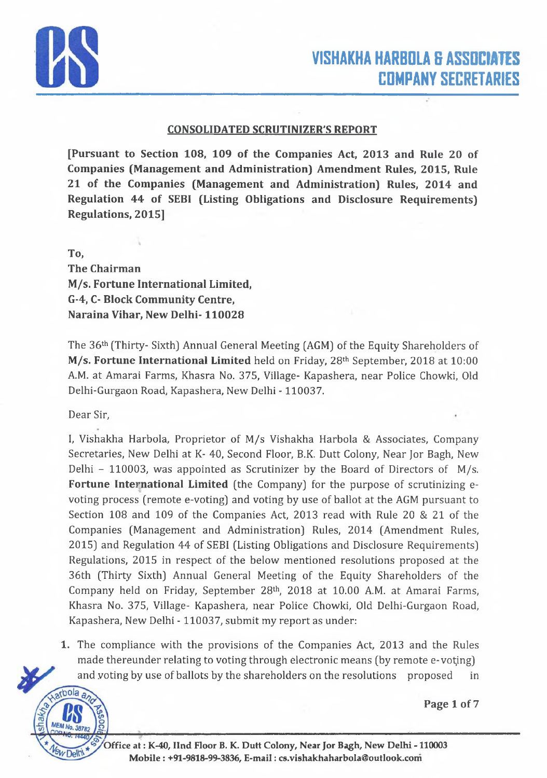

#### **CONSOLIDATED SCRUTINEER'S REPORT**

**[Pursuant to Section 108, 109 of the Companies Act, 2013 and Rule 20 of Companies (Management and Administration) Amendment Rules, 2015, Rule 21 of the Companies (Management and Administration) Rules, 2014 and Regulation 44 of SEB1 (Listing Obligations and Disclosure Requirements) Regulations, 2015]**

**To,**

**The Chairman M/s. Fortune International Limited, G-4, C- Block Community Centre, Naraina Vihar, New Delhi-110028**

The 36th (Thirty- Sixth) Annual General Meeting (AGM) of the Equity Shareholders of **M/s. Fortune International Limited** held on Friday, 28th September, 2018 at 10:00 A.M. at Amarai Farms, Khasra No. 375, Village- Kapashera, near Police Chowki, Old Delhi-Gurgaon Road, Kapashera, New Delhi - 110037.

Dear Sir,

I, Vishakha Harbola, Proprietor of M/s Vishakha Harbola & Associates, Company Secretaries, New Delhi at K- 40, Second Floor, B.K. Dutt Colony, Near Jor Bagh, New Delhi - 110003, was appointed as Scrutinizer by the Board of Directors of M/s. **Fortune International Limited** (the Company) for the purpose of scrutinizing evoting process (remote e-voting) and voting by use of ballot at the AGM pursuant to Section 108 and 109 of the Companies Act, 2013 read with Rule 20 & 21 of the Companies (Management and Administration) Rules, 2014 (Amendment Rules, 2015) and Regulation 44 of SEBI (Listing Obligations and Disclosure Requirements) Regulations, 2015 in respect of the below mentioned resolutions proposed at the 36th (Thirty Sixth) Annual General Meeting of the Equity Shareholders of the Company held on Friday, September 28th, 2018 at 10.00 A.M. at Amarai Farms, Khasra No. 375, Village- Kapashera, near Police Chowki, Old Delhi-Gurgaon Road, Kapashera, New Delhi - 110037, submit my report as under:

1. The compliance with the provisions of the Companies Act, 2013 and the Rules made thereunder relating to voting through electronic means (by remote e-voting) and voting by use of ballots by the shareholders on the resolutions proposed in



**Page 1 of 7**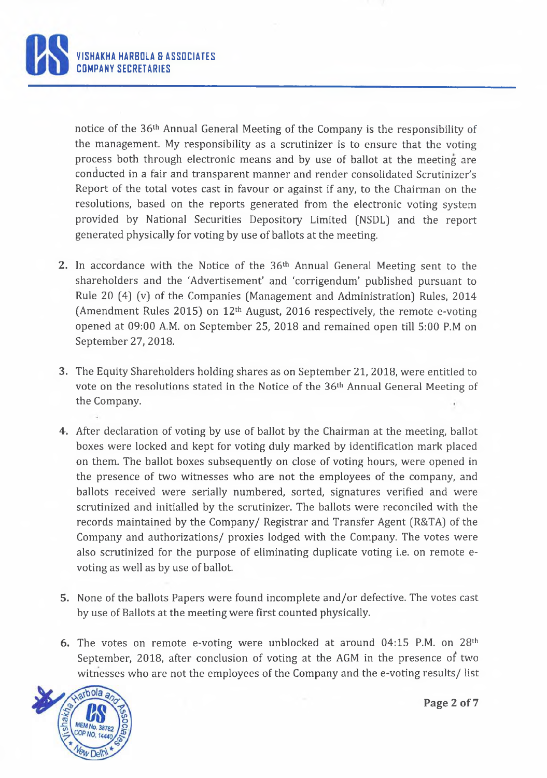

notice of the 36th Annual General Meeting of the Company is the responsibility of the management. My responsibility as a scrutinizer is to ensure that the voting process both through electronic means and by use of ballot at the meeting are conducted in a fair and transparent manner and render consolidated Scrutinizer's Report of the total votes cast in favour or against if any, to the Chairman on the resolutions, based on the reports generated from the electronic voting system provided by National Securities Depository Limited (NSDL) and the report generated physically for voting by use of ballots at the meeting.

- **2.** In accordance with the Notice of the 36th Annual General Meeting sent to the shareholders and the 'Advertisement' and 'corrigendum' published pursuant to Rule 20 [4] (v) of the Companies (Management and Administration) Rules, 2014 (Amendment Rules 2015) on 12th August, 2016 respectively, the remote e-voting opened at 09:00 A.M. on September 25, 2018 and remained open till 5:00 P.M on September 27, 2018.
- **3.** The Equity Shareholders holding shares as on September 21, 2018, were entitled to vote on the resolutions stated in the Notice of the 36th Annual General Meeting of the Company.
- **4.** After declaration of voting by use of ballot by the Chairman at the meeting, ballot boxes were locked and kept for voting duly marked by identification mark placed on them. The ballot boxes subsequently on close of voting hours, were opened in the presence of two witnesses who are not the employees of the company, and ballots received were serially numbered, sorted, signatures verified and were scrutinized and initialled by the scrutinizer. The ballots were reconciled with the records maintained by the Company/ Registrar and Transfer Agent (R&TA) of the Company and authorizations/ proxies lodged with the Company. The votes were also scrutinized for the purpose of eliminating duplicate voting i.e. on remote evoting as well as by use of ballot.
- 5. None of the ballots Papers were found incomplete and/or defective. The votes cast by use of Ballots at the meeting were first counted physically.
- 6. The votes on remote e-voting were unblocked at around 04:15 P.M. on 28th September, 2018, after conclusion of voting at the AGM in the presence of two witnesses who are not the employees of the Company and the e-voting results/ list



Page 2 of 7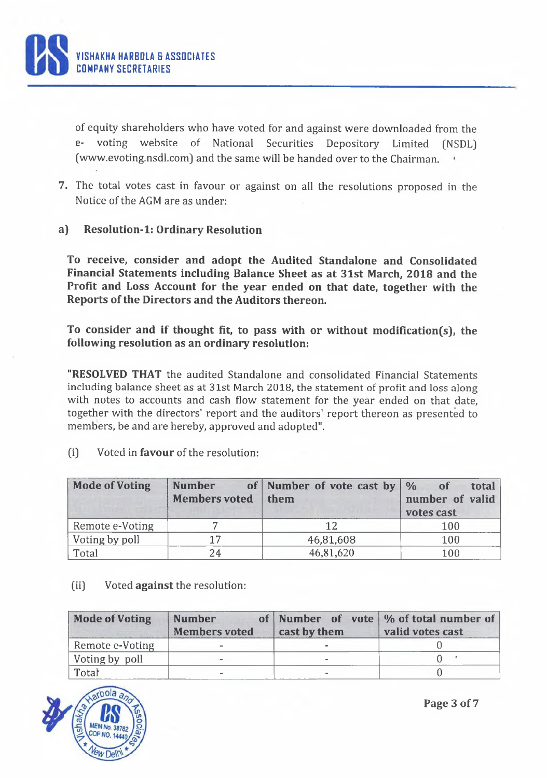**ISHAKHA HARBOLA & ASSOCIATES** COMPANY SECRETARIES

> of equity shareholders who have voted for and against were downloaded from the e- voting website of National Securities Depository Limited [NSDL] [\(www.evoting.nsdl.com\]](http://www.evoting.nsdl.com) and the same will be handed over to the Chairman.

- 7. The total votes cast in favour or against on all the resolutions proposed in the Notice of the AGM are as under:
- **a) Resolution-1: Ordinary Resolution**

**To receive, consider and adopt the Audited Standalone and Consolidated Financial Statements including Balance Sheet as at 31st March, 2018 and the Profit and Loss Account for the year ended on that date, together with the Reports of the Directors and the Auditors thereon.**

**To consider and if thought fit, to pass with or without modification(s), the following resolution as an ordinary resolution:**

**"RESOLVED THAT** the audited Standalone and consolidated Financial Statements including balance sheet as at 31st March 2018, the statement of profit and loss along with notes to accounts and cash flow statement for the year ended on that date, together with the directors' report and the auditors' report thereon as presented to members, be and are hereby, approved and adopted".

[i] Voted in **favour** of the resolution:

| <b>Mode of Voting</b> | <b>Number</b><br><b>Members voted</b> | of Number of vote cast by $\frac{1}{2}$<br>them | total<br>of<br>number of valid<br>votes cast |
|-----------------------|---------------------------------------|-------------------------------------------------|----------------------------------------------|
| Remote e-Voting       |                                       |                                                 | 100                                          |
| Voting by poll        | 17                                    | 46,81,608                                       | 100                                          |
| Total                 | 24                                    | 46,81,620                                       | 100                                          |

#### (ii) Voted **against** the resolution:

| <b>Mode of Voting</b> | <b>Number</b><br><b>Members voted</b> | cast by them | of Number of vote \% of total number of<br>valid votes cast |
|-----------------------|---------------------------------------|--------------|-------------------------------------------------------------|
| Remote e-Voting       |                                       |              |                                                             |
| Voting by poll        |                                       |              |                                                             |
| Total                 |                                       |              |                                                             |

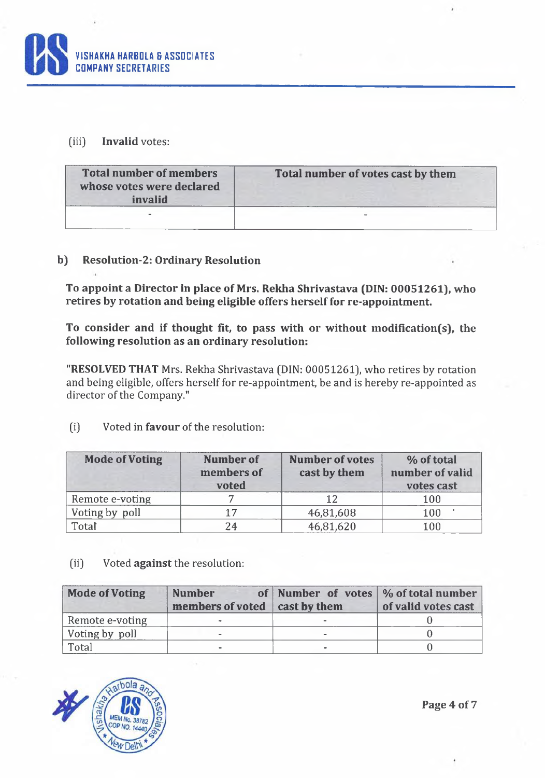

## (iii) **Invalid** votes:

| <b>Total number of members</b><br>whose votes were declared<br>invalid | Total number of votes cast by them |
|------------------------------------------------------------------------|------------------------------------|
|                                                                        |                                    |

## **b) Resolution-2: Ordinary Resolution**

**To appoint a Director in place of Mrs. Rekha Shrivastava (DIN: 00051261), who retires by rotation and being eligible offers herself for re-appointment.**

**To consider and if thought fit, to pass with or without modification(s), the following resolution as an ordinary resolution:**

**"RESOLVED THAT** Mrs. Rekha Shrivastava (DIN: 00051261), who retires by rotation and being eligible, offers herself for re-appointment, be and is hereby re-appointed as director of the Company."

| <b>Mode of Voting</b> | Number of<br>members of<br>voted | <b>Number of votes</b><br>cast by them | % of total<br>number of valid<br>votes cast |
|-----------------------|----------------------------------|----------------------------------------|---------------------------------------------|
| Remote e-voting       |                                  | 12                                     | 100                                         |
| Voting by poll        | 17                               | 46,81,608                              | 100                                         |
| Total                 | 24                               | 46,81,620                              | 100                                         |

(i) Voted in **favour** of the resolution:

(ii) Voted **against** the resolution:

| <b>Mode of Voting</b> | <b>Number</b><br>members of voted   cast by them | of Number of votes $\frac{1}{2}$ of total number | of valid votes cast |
|-----------------------|--------------------------------------------------|--------------------------------------------------|---------------------|
| Remote e-voting       |                                                  |                                                  |                     |
| Voting by poll        |                                                  |                                                  |                     |
| Total                 |                                                  |                                                  |                     |



**Page 4 of 7**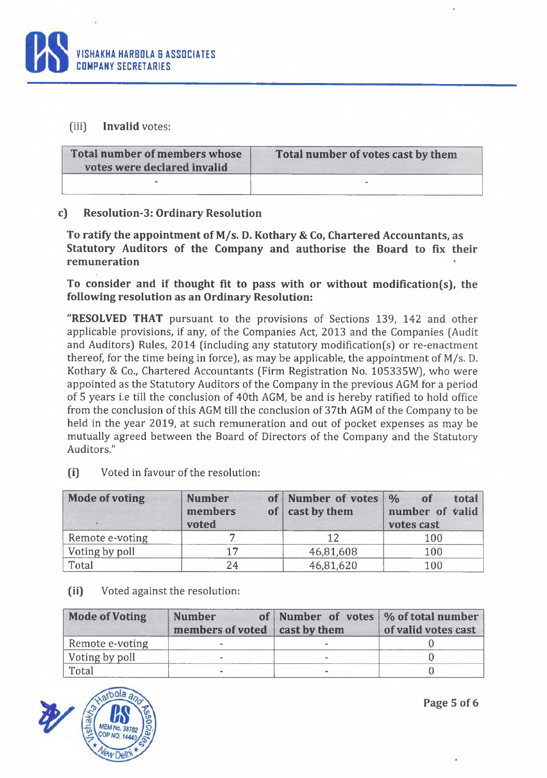

## (iii) **Invalid** votes:

| Total number of members whose<br>votes were declared invalid | Total number of votes cast by them |
|--------------------------------------------------------------|------------------------------------|
|                                                              |                                    |

## **c) Resolution-3: Ordinary Resolution**

**To ratify the appointment of M/s. D. Kothary & Co, Chartered Accountants, as Statutory Auditors of the Company and authorise the Board to fix their remuneration**

**To consider and if thought fit to pass with or without modification(s), the following resolution as an Ordinary Resolution:**

**"RESOLVED THAT** pursuant to the provisions of Sections 139, 142 and other applicable provisions, if any, of the Companies Act, 2013 and the Companies (Audit and Auditors) Rules, 2014 (including any statutory modification(s) or re-enactment thereof, for the time being in force), as may be applicable, the appointment of M/s. D. Kothary & Co., Chartered Accountants (Firm Registration No. 105335W), who were appointed as the Statutory Auditors of the Company in the previous AGM for a period of 5 years i.e till the conclusion of 40th AGM, be and is hereby ratified to hold office from the conclusion of this AGM till the conclusion of 37th AGM of the Company to be held in the year 2019, at such remuneration and out of pocket expenses as may be mutually agreed between the Board of Directors of the Company and the Statutory Auditors."

| <b>Mode of voting</b> | <b>Number</b><br>members<br>voted | of Number of votes<br>of $\vert$ cast by them | $\frac{1}{2}$<br>of<br>total<br>number of valid<br>votes cast |
|-----------------------|-----------------------------------|-----------------------------------------------|---------------------------------------------------------------|
| Remote e-voting       |                                   | 12                                            | 100                                                           |
| Voting by poll        | 17                                | 46,81,608                                     | 100                                                           |
| Total                 | 24                                | 46,81,620                                     | 100                                                           |

(i) Voted in favour of the resolution:

#### **(ii)** Voted against the resolution:

| <b>Mode of Voting</b> | <b>Number</b><br>members of voted cast by them | of Number of votes \% of total number | of valid votes cast |
|-----------------------|------------------------------------------------|---------------------------------------|---------------------|
| Remote e-voting       | $\overline{\phantom{a}}$                       |                                       |                     |
| Voting by poll        |                                                |                                       |                     |
| Total                 |                                                |                                       |                     |



**Page 5 of 6**